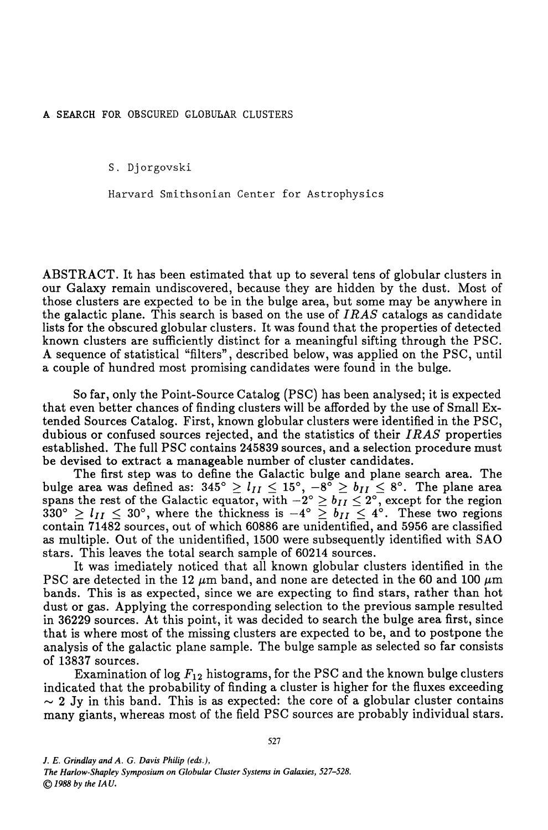## A SEARCH FOR OBSCURED GLOBULAR CLUSTERS

S. Djorgovski

Harvard Smithsonian Center for Astrophysics

ABSTRACT. It has been estimated that up to several tens of globular clusters in our Galaxy remain undiscovered, because they are hidden by the dust. Most of those clusters are expected to be in the bulge area, but some may be anywhere in the galactic plane. This search is based on the use of *I RAS* catalogs as candidate lists for the obscured globular clusters. It was found that the properties of detected known clusters are sufficiently distinct for a meaningful sifting through the PSC. A sequence of statistical "filters", described below, was applied on the PSC, until a couple of hundred most promising candidates were found in the bulge.

So far, only the Point-Source Catalog (PSC) has been analysed; it is expected that even better chances of finding clusters will be afforded by the use of Small Extended Sources Catalog. First, known globular clusters were identified in the PSC, dubious or confused sources rejected, and the statistics of their *I RAS* properties established. The full PSC contains 245839 sources, and a selection procedure must be devised to extract a manageable number of cluster candidates.

The first step was to define the Galactic bulge and plane search area. The bulge area was defined as:  $345^{\circ} \ge l_{II} \le 15^{\circ}$ ,  $-8^{\circ} \ge b_{II} \le 8^{\circ}$ . The plane area spans the rest of the Galactic equator, with  $-2^{\circ} \ge b_{II} \le 2^{\circ}$ , except for the region  $330^\circ \ge l_{II} \le 30^\circ$ , where the thickness is  $-4^\circ \ge b_{II} \le 4^\circ$ . These two regions contain 71482 sources, out of which 60886 are unidentified, and 5956 are classified as multiple. Out of the unidentified, 1500 were subsequently identified with SAO stars. This leaves the total search sample of 60214 sources.

It was imediately noticed that all known globular clusters identified in the PSC are detected in the 12  $\mu$ m band, and none are detected in the 60 and 100  $\mu$ m bands. This is as expected, since we are expecting to find stars, rather than hot dust or gas. Applying the corresponding selection to the previous sample resulted in 36229 sources. At this point, it was decided to search the bulge area first, since that is where most of the missing clusters are expected to be, and to postpone the analysis of the galactic plane sample. The bulge sample as selected so far consists of 13837 sources.

Examination of  $log F_{12}$  histograms, for the PSC and the known bulge clusters indicated that the probability of finding a cluster is higher for the fluxes exceeding  $\sim$  2 Jy in this band. This is as expected: the core of a globular cluster contains many giants, whereas most of the field PSC sources are probably individual stars.